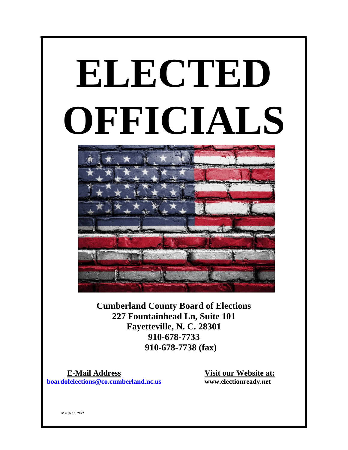# **ELECTED OFFICIALS**



**Cumberland County Board of Elections 227 Fountainhead Ln, Suite 101 Fayetteville, N. C. 28301 910-678-7733 910-678-7738 (fax)**

 **E-Mail Address Visit our Website at: boardofelections@co.cumberland.nc.us www.electionready.net**

**March 16, 2022**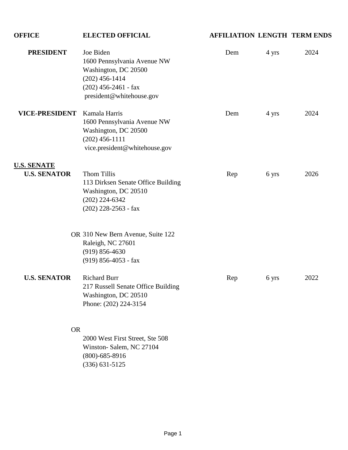# **OFFICE ELECTED OFFICIAL AFFILIATION LENGTH TERM ENDS PRESIDENT** Joe Biden Dem 4 yrs 2024 1600 Pennsylvania Avenue NW Washington, DC 20500 (202) 456-1414 (202) 456-2461 - fax president@whitehouse.gov **VICE-PRESIDENT** Kamala Harris Dem 4 yrs 2024 1600 Pennsylvania Avenue NW Washington, DC 20500 (202) 456-1111 vice.president@whitehouse.gov **U.S. SENATE U.S. SENATOR** Thom Tillis Rep 6 yrs 2026 113 Dirksen Senate Office Building Washington, DC 20510 (202) 224-6342 (202) 228-2563 - fax OR 310 New Bern Avenue, Suite 122 Raleigh, NC 27601 (919) 856-4630 (919) 856-4053 - fax **U.S. SENATOR** Richard Burr Rep 6 yrs 2022 217 Russell Senate Office Building Washington, DC 20510 Phone: (202) 224-3154 OR 2000 West First Street, Ste 508 Winston- Salem, NC 27104

(800)-685-8916 (336) 631-5125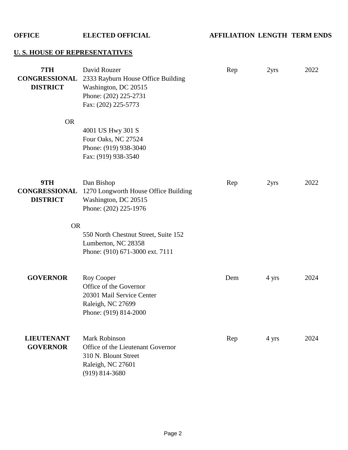**OFFICE ELECTED OFFICIAL AFFILIATION LENGTH TERM ENDS**

## **U. S. HOUSE OF REPRESENTATIVES**

| 7TH<br><b>CONGRESSIONAL</b><br><b>DISTRICT</b> | David Rouzer<br>2333 Rayburn House Office Building<br>Washington, DC 20515<br>Phone: (202) 225-2731<br>Fax: (202) 225-5773   | Rep | 2yrs             | 2022 |
|------------------------------------------------|------------------------------------------------------------------------------------------------------------------------------|-----|------------------|------|
| <b>OR</b>                                      | 4001 US Hwy 301 S<br>Four Oaks, NC 27524<br>Phone: (919) 938-3040<br>Fax: (919) 938-3540                                     |     |                  |      |
| 9TH<br><b>CONGRESSIONAL</b><br><b>DISTRICT</b> | Dan Bishop<br>1270 Longworth House Office Building<br>Washington, DC 20515<br>Phone: (202) 225-1976                          | Rep | 2 <sub>yrs</sub> | 2022 |
| <b>OR</b>                                      | 550 North Chestnut Street, Suite 152                                                                                         |     |                  |      |
|                                                | Lumberton, NC 28358<br>Phone: (910) 671-3000 ext. 7111                                                                       |     |                  |      |
| <b>GOVERNOR</b>                                | Roy Cooper<br>Office of the Governor<br>20301 Mail Service Center<br>Raleigh, NC 27699<br>Phone: (919) 814-2000              | Dem | 4 yrs            | 2024 |
| <b>LIEUTENANT</b><br><b>GOVERNOR</b>           | <b>Mark Robinson</b><br>Office of the Lieutenant Governor<br>310 N. Blount Street<br>Raleigh, NC 27601<br>$(919) 814 - 3680$ | Rep | 4 yrs            | 2024 |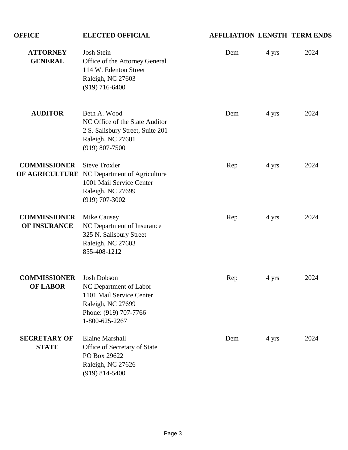## **OFFICE ELECTED OFFICIAL AFFILIATION LENGTH TERM ENDS ATTORNEY** Josh Stein Dem 4 yrs 2024 **GENERAL** Office of the Attorney General 114 W. Edenton Street Raleigh, NC 27603 (919) 716-6400 **AUDITOR** Beth A. Wood Dem 4 yrs 2024 NC Office of the State Auditor 2 S. Salisbury Street, Suite 201 Raleigh, NC 27601 (919) 807-7500 **COMMISSIONER** Steve Troxler Rep 4 yrs 2024 **OF AGRICULTURE** NC Department of Agriculture 1001 Mail Service Center Raleigh, NC 27699 (919) 707-3002 **COMMISSIONER** Mike Causey Rep 4 yrs 2024 **OF INSURANCE** NC Department of Insurance 325 N. Salisbury Street Raleigh, NC 27603 855-408-1212 **COMMISSIONER** Josh Dobson Rep 4 yrs 2024 **OF LABOR** NC Department of Labor 1101 Mail Service Center Raleigh, NC 27699 Phone: (919) 707-7766 1-800-625-2267 **SECRETARY OF** Elaine Marshall Dem 4 yrs 2024 **STATE** Office of Secretary of State PO Box 29622 Raleigh, NC 27626 (919) 814-5400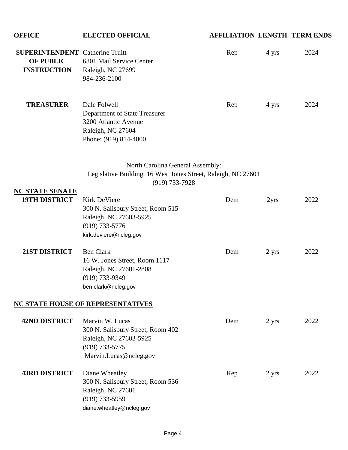| <b>OFFICE</b>                                                                    | <b>ELECTED OFFICIAL</b>                                                                                                            | <b>AFFILIATION LENGTH TERM ENDS</b> |                  |      |
|----------------------------------------------------------------------------------|------------------------------------------------------------------------------------------------------------------------------------|-------------------------------------|------------------|------|
| <b>SUPERINTENDENT</b> Catherine Truitt<br><b>OF PUBLIC</b><br><b>INSTRUCTION</b> | 6301 Mail Service Center<br>Raleigh, NC 27699<br>984-236-2100                                                                      | Rep                                 | 4 yrs            | 2024 |
| <b>TREASURER</b>                                                                 | Dale Folwell<br>Department of State Treasurer<br>3200 Atlantic Avenue<br>Raleigh, NC 27604<br>Phone: (919) 814-4000                | Rep                                 | 4 yrs            | 2024 |
|                                                                                  | North Carolina General Assembly:<br>Legislative Building, 16 West Jones Street, Raleigh, NC 27601<br>$(919) 733 - 7928$            |                                     |                  |      |
| <b>NC STATE SENATE</b><br><b>19TH DISTRICT</b>                                   | <b>Kirk DeViere</b><br>300 N. Salisbury Street, Room 515<br>Raleigh, NC 27603-5925<br>$(919) 733 - 5776$<br>kirk.deviere@ncleg.gov | Dem                                 | 2 <sub>yrs</sub> | 2022 |
| 21ST DISTRICT                                                                    | <b>Ben Clark</b><br>16 W. Jones Street, Room 1117<br>Raleigh, NC 27601-2808<br>(919) 733-9349<br>ben.clark@ncleg.gov               | Dem                                 | 2 yrs            | 2022 |
|                                                                                  | <b>NC STATE HOUSE OF REPRESENTATIVES</b>                                                                                           |                                     |                  |      |
| <b>42ND DISTRICT</b>                                                             | Marvin W. Lucas<br>300 N. Salisbury Street, Room 402<br>Raleigh, NC 27603-5925<br>$(919) 733 - 5775$<br>Marvin.Lucas@ncleg.gov     | Dem                                 | 2 yrs            | 2022 |
| <b>43RD DISTRICT</b>                                                             | Diane Wheatley<br>300 N. Salisbury Street, Room 536<br>Raleigh, NC 27601<br>$(919) 733 - 5959$<br>diane.wheatley@ncleg.gov         | Rep                                 | 2 yrs            | 2022 |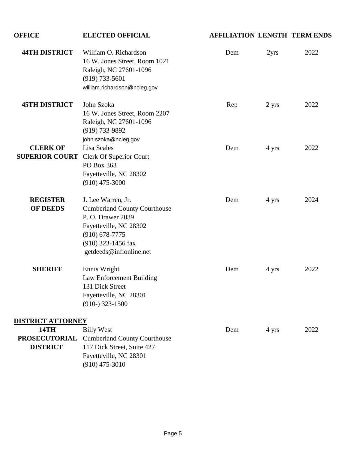| <b>OFFICE</b>                                                                      | <b>ELECTED OFFICIAL</b>                                                                                                                                                       | <b>AFFILIATION LENGTH TERM ENDS</b> |                  |      |
|------------------------------------------------------------------------------------|-------------------------------------------------------------------------------------------------------------------------------------------------------------------------------|-------------------------------------|------------------|------|
| <b>44TH DISTRICT</b>                                                               | William O. Richardson<br>16 W. Jones Street, Room 1021<br>Raleigh, NC 27601-1096<br>$(919) 733 - 5601$<br>william.richardson@ncleg.gov                                        | Dem                                 | 2 <sub>yrs</sub> | 2022 |
| <b>45TH DISTRICT</b>                                                               | John Szoka<br>16 W. Jones Street, Room 2207<br>Raleigh, NC 27601-1096<br>(919) 733-9892<br>john.szoka@ncleg.gov                                                               | Rep                                 | 2 yrs            | 2022 |
| <b>CLERK OF</b>                                                                    | Lisa Scales<br><b>SUPERIOR COURT</b> Clerk Of Superior Court<br>PO Box 363<br>Fayetteville, NC 28302<br>$(910)$ 475-3000                                                      | Dem                                 | 4 yrs            | 2022 |
| <b>REGISTER</b><br><b>OF DEEDS</b>                                                 | J. Lee Warren, Jr.<br><b>Cumberland County Courthouse</b><br>P. O. Drawer 2039<br>Fayetteville, NC 28302<br>$(910)$ 678-7775<br>(910) 323-1456 fax<br>getdeeds@infionline.net | Dem                                 | 4 yrs            | 2024 |
| <b>SHERIFF</b>                                                                     | Ennis Wright<br>Law Enforcement Building<br>131 Dick Street<br>Fayetteville, NC 28301<br>$(910-)$ 323-1500                                                                    | Dem                                 | 4 yrs            | 2022 |
| <b>DISTRICT ATTORNEY</b><br><b>14TH</b><br><b>PROSECUTORIAL</b><br><b>DISTRICT</b> | <b>Billy West</b><br><b>Cumberland County Courthouse</b><br>117 Dick Street, Suite 427<br>Fayetteville, NC 28301<br>$(910)$ 475-3010                                          | Dem                                 | 4 yrs            | 2022 |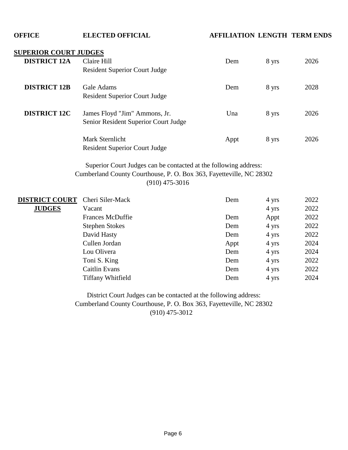**OFFICE ELECTED OFFICIAL AFFILIATION LENGTH TERM ENDS**

#### **SUPERIOR COURT JUDGES**

| <b>DISTRICT 12A</b> | Claire Hill                                                                                | Dem  | 8 yrs | 2026 |
|---------------------|--------------------------------------------------------------------------------------------|------|-------|------|
| <b>DISTRICT 12B</b> | <b>Resident Superior Court Judge</b><br>Gale Adams<br><b>Resident Superior Court Judge</b> | Dem  | 8 yrs | 2028 |
| <b>DISTRICT 12C</b> | James Floyd "Jim" Ammons, Jr.<br>Senior Resident Superior Court Judge                      | Una  | 8 yrs | 2026 |
|                     | Mark Sternlicht<br><b>Resident Superior Court Judge</b>                                    | Appt | 8 yrs | 2026 |

(910) 475-3016 Cumberland County Courthouse, P. O. Box 363, Fayetteville, NC 28302 Superior Court Judges can be contacted at the following address:

| <b>DISTRICT COURT</b> | Cheri Siler-Mack         | Dem  | 4 yrs | 2022 |
|-----------------------|--------------------------|------|-------|------|
| <b>JUDGES</b>         | Vacant                   |      | 4 yrs | 2022 |
|                       | <b>Frances McDuffie</b>  | Dem  | Appt  | 2022 |
|                       | <b>Stephen Stokes</b>    | Dem  | 4 yrs | 2022 |
|                       | David Hasty              | Dem  | 4 yrs | 2022 |
|                       | Cullen Jordan            | Appt | 4 yrs | 2024 |
|                       | Lou Olivera              | Dem  | 4 yrs | 2024 |
|                       | Toni S. King             | Dem  | 4 yrs | 2022 |
|                       | Caitlin Evans            | Dem  | 4 yrs | 2022 |
|                       | <b>Tiffany Whitfield</b> | Dem  | 4 yrs | 2024 |

District Court Judges can be contacted at the following address: Cumberland County Courthouse, P. O. Box 363, Fayetteville, NC 28302 (910) 475-3012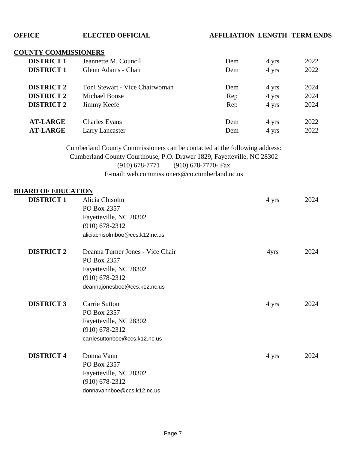#### **OFFICE ELECTED OFFICIAL AFFILIATION LENGTH TERM ENDS**

### **COUNTY COMMISSIONERS**

| <b>DISTRICT 1</b> | Jeannette M. Council           | Dem | 4 yrs | 2022 |
|-------------------|--------------------------------|-----|-------|------|
| <b>DISTRICT 1</b> | Glenn Adams - Chair            | Dem | 4 yrs | 2022 |
| <b>DISTRICT 2</b> | Toni Stewart - Vice Chairwoman | Dem | 4 yrs | 2024 |
| <b>DISTRICT 2</b> | Michael Boose                  |     |       | 2024 |
|                   |                                | Rep | 4 yrs |      |
| <b>DISTRICT 2</b> | Jimmy Keefe                    | Rep | 4 yrs | 2024 |
| <b>AT-LARGE</b>   | <b>Charles Evans</b>           | Dem | 4 yrs | 2022 |
|                   |                                |     |       |      |
| <b>AT-LARGE</b>   | <b>Larry Lancaster</b>         | Dem | 4 yrs | 2022 |

E-mail: web.commissioners@co.cumberland.nc.us (910) 678-7771 (910) 678-7770- Fax Cumberland County Commissioners can be contacted at the following address: Cumberland County Courthouse, P.O. Drawer 1829, Fayetteville, NC 28302

#### **BOARD OF EDUCATION**

| <b>DISTRICT 1</b> | Alicia Chisolm                   | 4 yrs | 2024 |
|-------------------|----------------------------------|-------|------|
|                   | PO Box 2357                      |       |      |
|                   | Fayetteville, NC 28302           |       |      |
|                   | $(910)$ 678-2312                 |       |      |
|                   | aliciachisolmboe@ccs.k12.nc.us   |       |      |
| <b>DISTRICT 2</b> | Deanna Turner Jones - Vice Chair | 4yrs  | 2024 |
|                   | PO Box 2357                      |       |      |
|                   | Fayetteville, NC 28302           |       |      |
|                   | $(910) 678 - 2312$               |       |      |
|                   | deannajonesboe@ccs.k12.nc.us     |       |      |
| <b>DISTRICT 3</b> | Carrie Sutton                    | 4 yrs | 2024 |
|                   | PO Box 2357                      |       |      |
|                   | Fayetteville, NC 28302           |       |      |
|                   | $(910)$ 678-2312                 |       |      |
|                   | carriesuttonboe@ccs.k12.nc.us    |       |      |
| <b>DISTRICT 4</b> | Donna Vann                       | 4 yrs | 2024 |
|                   | PO Box 2357                      |       |      |
|                   | Fayetteville, NC 28302           |       |      |
|                   | $(910)$ 678-2312                 |       |      |
|                   | donnavannboe@ccs.k12.nc.us       |       |      |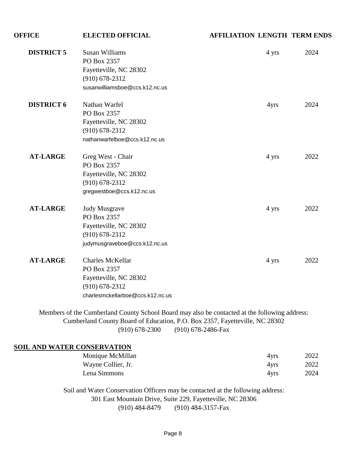| <b>OFFICE</b>     | <b>ELECTED OFFICIAL</b>          | <b>AFFILIATION LENGTH TERM ENDS</b> |      |
|-------------------|----------------------------------|-------------------------------------|------|
| <b>DISTRICT 5</b> | <b>Susan Williams</b>            | 4 yrs                               | 2024 |
|                   | PO Box 2357                      |                                     |      |
|                   | Fayetteville, NC 28302           |                                     |      |
|                   | $(910) 678 - 2312$               |                                     |      |
|                   | susanwilliamsboe@ccs.k12.nc.us   |                                     |      |
| <b>DISTRICT 6</b> | Nathan Warfel                    | 4yrs                                | 2024 |
|                   | PO Box 2357                      |                                     |      |
|                   | Fayetteville, NC 28302           |                                     |      |
|                   | $(910) 678 - 2312$               |                                     |      |
|                   | nathanwarfelboe@ccs.k12.nc.us    |                                     |      |
| <b>AT-LARGE</b>   | Greg West - Chair                | 4 yrs                               | 2022 |
|                   | PO Box 2357                      |                                     |      |
|                   | Fayetteville, NC 28302           |                                     |      |
|                   | $(910) 678 - 2312$               |                                     |      |
|                   | gregwestboe@ccs.k12.nc.us        |                                     |      |
| <b>AT-LARGE</b>   | <b>Judy Musgrave</b>             | 4 yrs                               | 2022 |
|                   | PO Box 2357                      |                                     |      |
|                   | Fayetteville, NC 28302           |                                     |      |
|                   | $(910)$ 678-2312                 |                                     |      |
|                   | judymusgraveboe@ccs.k12.nc.us    |                                     |      |
| <b>AT-LARGE</b>   | <b>Charles McKellar</b>          | 4 yrs                               | 2022 |
|                   | PO Box 2357                      |                                     |      |
|                   | Fayetteville, NC 28302           |                                     |      |
|                   | $(910) 678 - 2312$               |                                     |      |
|                   | charlesmckellarboe@ccs.k12.nc.us |                                     |      |

ity School Board may al (910) 678-2300 (910) 678-2486-Fax Cumberland County Board of Education, P.O. Box 2357, Fayetteville, NC 28302

#### **SOIL AND WATER CONSERVATION**

| Monique McMillan   | 4yrs | 2022 |
|--------------------|------|------|
| Wayne Collier, Jr. | 4yrs | 2022 |
| Lena Simmons       | 4yrs | 2024 |

(910) 484-8479 (910) 484-3157-Fax 301 East Mountain Drive, Suite 229, Fayetteville, NC 28306 Soil and Water Conservation Officers may be contacted at the following address: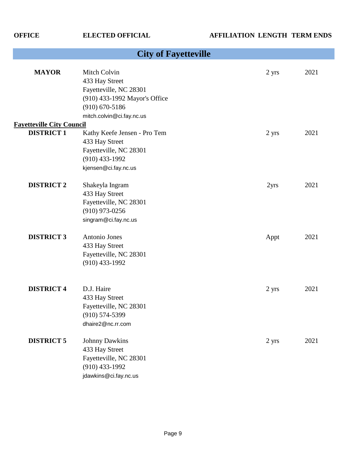|                                  | <b>City of Fayetteville</b>                                                                                                                |       |      |
|----------------------------------|--------------------------------------------------------------------------------------------------------------------------------------------|-------|------|
| <b>MAYOR</b>                     | Mitch Colvin<br>433 Hay Street<br>Fayetteville, NC 28301<br>(910) 433-1992 Mayor's Office<br>$(910)$ 670-5186<br>mitch.colvin@ci.fay.nc.us | 2 yrs | 2021 |
| <b>Fayetteville City Council</b> |                                                                                                                                            |       |      |
| <b>DISTRICT 1</b>                | Kathy Keefe Jensen - Pro Tem<br>433 Hay Street<br>Fayetteville, NC 28301<br>$(910)$ 433-1992<br>kjensen@ci.fay.nc.us                       | 2 yrs | 2021 |
| <b>DISTRICT 2</b>                | Shakeyla Ingram<br>433 Hay Street<br>Fayetteville, NC 28301<br>$(910)$ 973-0256<br>singram@ci.fay.nc.us                                    | 2yrs  | 2021 |
| <b>DISTRICT 3</b>                | Antonio Jones<br>433 Hay Street<br>Fayetteville, NC 28301<br>$(910)$ 433-1992                                                              | Appt  | 2021 |
| <b>DISTRICT 4</b>                | D.J. Haire<br>433 Hay Street<br>Fayetteville, NC 28301<br>$(910) 574 - 5399$<br>dhaire2@nc.rr.com                                          | 2 yrs | 2021 |
| <b>DISTRICT 5</b>                | <b>Johnny Dawkins</b><br>433 Hay Street<br>Fayetteville, NC 28301<br>$(910)$ 433-1992<br>jdawkins@ci.fay.nc.us                             | 2 yrs | 2021 |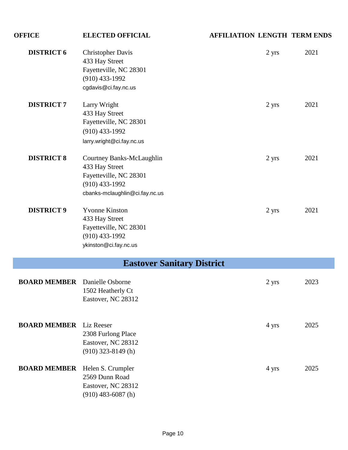| <b>OFFICE</b>                        | <b>ELECTED OFFICIAL</b>                                                                                                     | <b>AFFILIATION LENGTH TERM ENDS</b> |       |      |
|--------------------------------------|-----------------------------------------------------------------------------------------------------------------------------|-------------------------------------|-------|------|
| <b>DISTRICT 6</b>                    | <b>Christopher Davis</b><br>433 Hay Street<br>Fayetteville, NC 28301<br>$(910)$ 433-1992<br>cgdavis@ci.fay.nc.us            |                                     | 2 yrs | 2021 |
| <b>DISTRICT 7</b>                    | Larry Wright<br>433 Hay Street<br>Fayetteville, NC 28301<br>$(910)$ 433-1992<br>larry.wright@ci.fay.nc.us                   |                                     | 2 yrs | 2021 |
| <b>DISTRICT 8</b>                    | Courtney Banks-McLaughlin<br>433 Hay Street<br>Fayetteville, NC 28301<br>$(910)$ 433-1992<br>cbanks-mclaughlin@ci.fay.nc.us |                                     | 2 yrs | 2021 |
| <b>DISTRICT 9</b>                    | <b>Yvonne Kinston</b><br>433 Hay Street<br>Fayetteville, NC 28301<br>$(910)$ 433-1992<br>ykinston@ci.fay.nc.us              |                                     | 2 yrs | 2021 |
|                                      | <b>Eastover Sanitary District</b>                                                                                           |                                     |       |      |
| <b>BOARD MEMBER</b> Danielle Osborne | 1502 Heatherly Ct<br>Eastover, NC 28312                                                                                     |                                     | 2 yrs | 2023 |
| <b>BOARD MEMBER</b>                  | Liz Reeser<br>2308 Furlong Place<br>Eastover, NC 28312<br>$(910)$ 323-8149 (h)                                              |                                     | 4 yrs | 2025 |
| <b>BOARD MEMBER</b>                  | Helen S. Crumpler<br>2569 Dunn Road<br>Eastover, NC 28312<br>$(910)$ 483-6087 (h)                                           |                                     | 4 yrs | 2025 |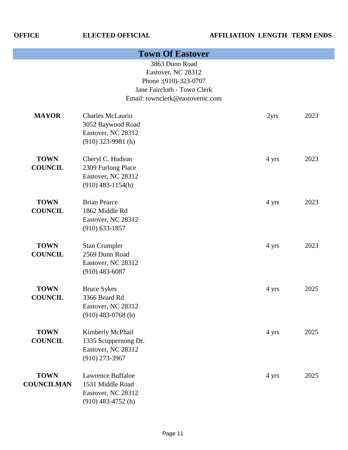|                                  | <b>Town Of Eastover</b>                                                                                                         |       |      |
|----------------------------------|---------------------------------------------------------------------------------------------------------------------------------|-------|------|
|                                  | 3863 Dunn Road<br>Eastover, NC 28312<br>Phone: (910)-323-0707<br>Jane Faircloth - Town Clerk<br>Email: townclerk@eastovernc.com |       |      |
| <b>MAYOR</b>                     | <b>Charles McLaurin</b><br>3052 Baywood Road<br>Eastover, NC 28312<br>$(910)$ 323-9981 (h)                                      | 2yrs  | 2023 |
| <b>TOWN</b><br><b>COUNCIL</b>    | Cheryl C. Hudson<br>2309 Furlong Place<br>Eastover, NC 28312<br>$(910)$ 483-1154(h)                                             | 4 yrs | 2023 |
| <b>TOWN</b><br><b>COUNCIL</b>    | <b>Brian Pearce</b><br>1862 Middle Rd<br>Eastover, NC 28312<br>$(910) 633 - 1857$                                               | 4 yrs | 2023 |
| <b>TOWN</b><br><b>COUNCIL</b>    | <b>Stan Crumpler</b><br>2569 Dunn Road<br>Eastover, NC 28312<br>$(910)$ 483-6087                                                | 4 yrs | 2023 |
| <b>TOWN</b><br><b>COUNCIL</b>    | <b>Bruce Sykes</b><br>3366 Beard Rd<br>Eastover, NC 28312<br>$(910)$ 483-0768 (h)                                               | 4 yrs | 2025 |
| <b>TOWN</b><br><b>COUNCIL</b>    | Kimberly McPhail<br>1335 Scuppernong Dr.<br>Eastover, NC 28312<br>$(910)$ 273-3967                                              | 4 yrs | 2025 |
| <b>TOWN</b><br><b>COUNCILMAN</b> | <b>Lawrence Buffaloe</b><br>1531 Middle Road<br>Eastover, NC 28312<br>$(910)$ 483-4752 (h)                                      | 4 yrs | 2025 |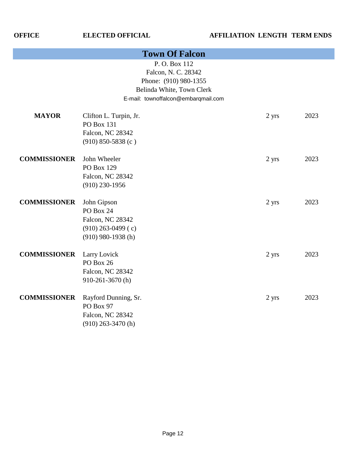| <b>Town Of Falcon</b> |                                                                                                                                  |       |      |  |
|-----------------------|----------------------------------------------------------------------------------------------------------------------------------|-------|------|--|
|                       | P.O. Box 112<br>Falcon, N. C. 28342<br>Phone: (910) 980-1355<br>Belinda White, Town Clerk<br>E-mail: townoffalcon@embarqmail.com |       |      |  |
| <b>MAYOR</b>          | Clifton L. Turpin, Jr.<br><b>PO Box 131</b><br>Falcon, NC 28342<br>$(910) 850 - 5838$ (c)                                        | 2 yrs | 2023 |  |
| <b>COMMISSIONER</b>   | John Wheeler<br>PO Box 129<br>Falcon, NC 28342<br>$(910)$ 230-1956                                                               | 2 yrs | 2023 |  |
| <b>COMMISSIONER</b>   | John Gipson<br>PO Box 24<br>Falcon, NC 28342<br>$(910)$ 263-0499 (c)<br>$(910)$ 980-1938 (h)                                     | 2 yrs | 2023 |  |
| <b>COMMISSIONER</b>   | Larry Lovick<br>PO Box 26<br>Falcon, NC 28342<br>910-261-3670(h)                                                                 | 2 yrs | 2023 |  |
| <b>COMMISSIONER</b>   | Rayford Dunning, Sr.<br>PO Box 97<br>Falcon, NC 28342<br>$(910)$ 263-3470 (h)                                                    | 2 yrs | 2023 |  |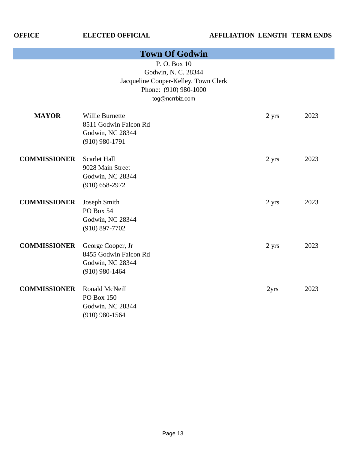| <b>Town Of Godwin</b> |                                                                                                                        |       |      |  |
|-----------------------|------------------------------------------------------------------------------------------------------------------------|-------|------|--|
|                       | P.O. Box 10<br>Godwin, N. C. 28344<br>Jacqueline Cooper-Kelley, Town Clerk<br>Phone: (910) 980-1000<br>tog@ncrrbiz.com |       |      |  |
| <b>MAYOR</b>          | Willie Burnette<br>8511 Godwin Falcon Rd<br>Godwin, NC 28344<br>$(910)$ 980-1791                                       | 2 yrs | 2023 |  |
| <b>COMMISSIONER</b>   | <b>Scarlet Hall</b><br>9028 Main Street<br>Godwin, NC 28344<br>$(910)$ 658-2972                                        | 2 yrs | 2023 |  |
| <b>COMMISSIONER</b>   | Joseph Smith<br>PO Box 54<br>Godwin, NC 28344<br>$(910) 897 - 7702$                                                    | 2 yrs | 2023 |  |
| <b>COMMISSIONER</b>   | George Cooper, Jr<br>8455 Godwin Falcon Rd<br>Godwin, NC 28344<br>$(910)$ 980-1464                                     | 2 yrs | 2023 |  |
| <b>COMMISSIONER</b>   | Ronald McNeill<br>PO Box 150<br>Godwin, NC 28344<br>$(910)$ 980-1564                                                   | 2yrs  | 2023 |  |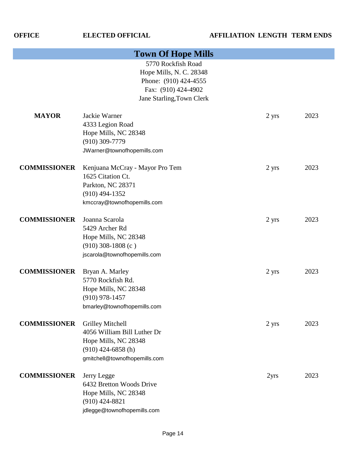| <b>Town Of Hope Mills</b> |                                                                                                                                  |       |      |  |
|---------------------------|----------------------------------------------------------------------------------------------------------------------------------|-------|------|--|
|                           | 5770 Rockfish Road<br>Hope Mills, N. C. 28348<br>Phone: (910) 424-4555<br>Fax: (910) 424-4902<br>Jane Starling, Town Clerk       |       |      |  |
| <b>MAYOR</b>              | Jackie Warner<br>4333 Legion Road<br>Hope Mills, NC 28348<br>$(910)$ 309-7779<br>JWarner@townofhopemills.com                     | 2 yrs | 2023 |  |
| <b>COMMISSIONER</b>       | Kenjuana McCray - Mayor Pro Tem<br>1625 Citation Ct.<br>Parkton, NC 28371<br>$(910)$ 494-1352<br>kmccray@townofhopemills.com     | 2 yrs | 2023 |  |
| <b>COMMISSIONER</b>       | Joanna Scarola<br>5429 Archer Rd<br>Hope Mills, NC 28348<br>$(910)$ 308-1808 (c)<br>jscarola@townofhopemills.com                 | 2 yrs | 2023 |  |
| <b>COMMISSIONER</b>       | Bryan A. Marley<br>5770 Rockfish Rd.<br>Hope Mills, NC 28348<br>$(910)$ 978-1457<br>bmarley@townofhopemills.com                  | 2 yrs | 2023 |  |
| <b>COMMISSIONER</b>       | Grilley Mitchell<br>4056 William Bill Luther Dr<br>Hope Mills, NC 28348<br>$(910)$ 424-6858 (h)<br>gmitchell@townofhopemills.com | 2 yrs | 2023 |  |
| <b>COMMISSIONER</b>       | Jerry Legge<br>6432 Bretton Woods Drive<br>Hope Mills, NC 28348<br>$(910)$ 424-8821<br>jdlegge@townofhopemills.com               | 2yrs  | 2023 |  |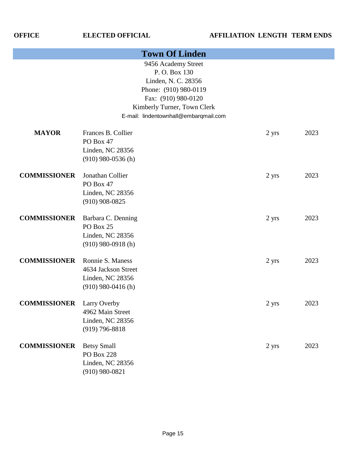| <b>Town Of Linden</b>            |                      |                                       |                 |      |
|----------------------------------|----------------------|---------------------------------------|-----------------|------|
|                                  |                      | 9456 Academy Street                   |                 |      |
|                                  |                      | P.O. Box 130                          |                 |      |
|                                  |                      | Linden, N. C. 28356                   |                 |      |
|                                  |                      | Phone: (910) 980-0119                 |                 |      |
|                                  |                      | Fax: (910) 980-0120                   |                 |      |
|                                  |                      | Kimberly Turner, Town Clerk           |                 |      |
|                                  |                      | E-mail: lindentownhall@embarqmail.com |                 |      |
| <b>MAYOR</b>                     | Frances B. Collier   |                                       | 2 yrs           | 2023 |
|                                  | PO Box 47            |                                       |                 |      |
|                                  | Linden, NC 28356     |                                       |                 |      |
|                                  | $(910)$ 980-0536 (h) |                                       |                 |      |
| <b>COMMISSIONER</b>              | Jonathan Collier     |                                       | 2 yrs           | 2023 |
|                                  | PO Box 47            |                                       |                 |      |
|                                  | Linden, NC 28356     |                                       |                 |      |
|                                  | $(910)$ 908-0825     |                                       |                 |      |
| <b>COMMISSIONER</b>              | Barbara C. Denning   |                                       | 2 yrs           | 2023 |
|                                  | PO Box 25            |                                       |                 |      |
|                                  | Linden, NC 28356     |                                       |                 |      |
|                                  | $(910)$ 980-0918 (h) |                                       |                 |      |
| <b>COMMISSIONER</b>              | Ronnie S. Maness     |                                       | 2 yrs           | 2023 |
|                                  | 4634 Jackson Street  |                                       |                 |      |
|                                  | Linden, NC 28356     |                                       |                 |      |
|                                  | $(910)$ 980-0416 (h) |                                       |                 |      |
| <b>COMMISSIONER</b> Larry Overby |                      |                                       | $2 \text{ yrs}$ | 2023 |
|                                  | 4962 Main Street     |                                       |                 |      |
|                                  | Linden, NC 28356     |                                       |                 |      |
|                                  | $(919) 796 - 8818$   |                                       |                 |      |
| <b>COMMISSIONER</b>              | <b>Betsy Small</b>   |                                       | 2 yrs           | 2023 |
|                                  | <b>PO Box 228</b>    |                                       |                 |      |
|                                  | Linden, NC 28356     |                                       |                 |      |
|                                  | $(910)$ 980-0821     |                                       |                 |      |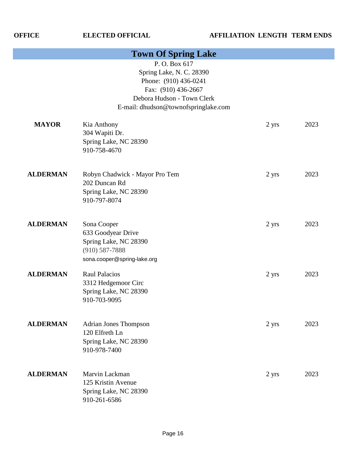| <b>Town Of Spring Lake</b> |                                                                                                                                                                |       |      |
|----------------------------|----------------------------------------------------------------------------------------------------------------------------------------------------------------|-------|------|
|                            | P.O. Box 617<br>Spring Lake, N. C. 28390<br>Phone: (910) 436-0241<br>Fax: (910) 436-2667<br>Debora Hudson - Town Clerk<br>E-mail: dhudson@townofspringlake.com |       |      |
| <b>MAYOR</b>               | Kia Anthony<br>304 Wapiti Dr.<br>Spring Lake, NC 28390<br>910-758-4670                                                                                         | 2 yrs | 2023 |
| <b>ALDERMAN</b>            | Robyn Chadwick - Mayor Pro Tem<br>202 Duncan Rd<br>Spring Lake, NC 28390<br>910-797-8074                                                                       | 2 yrs | 2023 |
| <b>ALDERMAN</b>            | Sona Cooper<br>633 Goodyear Drive<br>Spring Lake, NC 28390<br>$(910) 587 - 7888$<br>sona.cooper@spring-lake.org                                                | 2 yrs | 2023 |
| <b>ALDERMAN</b>            | <b>Raul Palacios</b><br>3312 Hedgemoor Circ<br>Spring Lake, NC 28390<br>910-703-9095                                                                           | 2 yrs | 2023 |
| <b>ALDERMAN</b>            | <b>Adrian Jones Thompson</b><br>120 Elfreth Ln<br>Spring Lake, NC 28390<br>910-978-7400                                                                        | 2 yrs | 2023 |
| <b>ALDERMAN</b>            | Marvin Lackman<br>125 Kristin Avenue<br>Spring Lake, NC 28390<br>910-261-6586                                                                                  | 2 yrs | 2023 |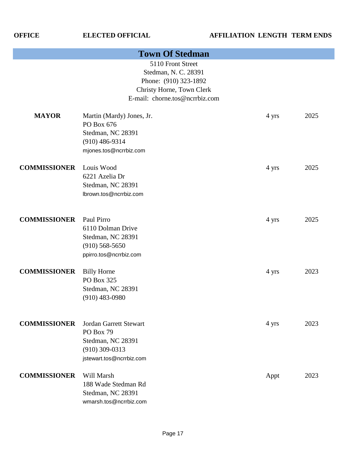| <b>Town Of Stedman</b> |                                                                                                                                   |       |      |  |
|------------------------|-----------------------------------------------------------------------------------------------------------------------------------|-------|------|--|
|                        | 5110 Front Street<br>Stedman, N. C. 28391<br>Phone: (910) 323-1892<br>Christy Horne, Town Clerk<br>E-mail: chorne.tos@ncrrbiz.com |       |      |  |
| <b>MAYOR</b>           | Martin (Mardy) Jones, Jr.<br>PO Box 676<br>Stedman, NC 28391<br>$(910)$ 486-9314<br>mjones.tos@ncrrbiz.com                        | 4 yrs | 2025 |  |
| <b>COMMISSIONER</b>    | Louis Wood<br>6221 Azelia Dr<br>Stedman, NC 28391<br>lbrown.tos@ncrrbiz.com                                                       | 4 yrs | 2025 |  |
| <b>COMMISSIONER</b>    | Paul Pirro<br>6110 Dolman Drive<br>Stedman, NC 28391<br>$(910)$ 568-5650<br>ppirro.tos@ncrrbiz.com                                | 4 yrs | 2025 |  |
| <b>COMMISSIONER</b>    | <b>Billy Horne</b><br>PO Box 325<br>Stedman, NC 28391<br>$(910)$ 483-0980                                                         | 4 yrs | 2023 |  |
| <b>COMMISSIONER</b>    | <b>Jordan Garrett Stewart</b><br>PO Box 79<br>Stedman, NC 28391<br>$(910)$ 309-0313<br>jstewart.tos@ncrrbiz.com                   | 4 yrs | 2023 |  |
| <b>COMMISSIONER</b>    | Will Marsh<br>188 Wade Stedman Rd<br>Stedman, NC 28391<br>wmarsh.tos@ncrrbiz.com                                                  | Appt  | 2023 |  |